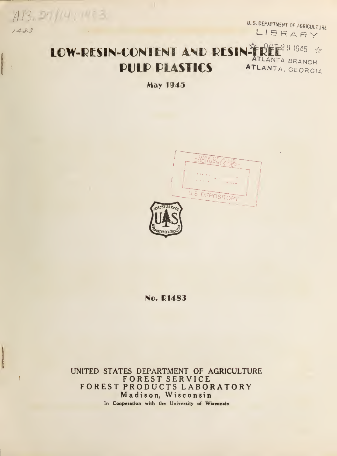$A13.291/14.1973$ 1483

U.S. DEPARTMENT OF AGRICULTURE

# LOW-RESIN-CONTENT AND RESIN  $\mathbf{\hat{F}}$  person  $\phi$ ATLANTA TLANTA BRANCH PULP PIASTICS ATLANTA, GEORGIA

May 1945



No. R1483

UNITED STATES DEPARTMENT OF AGRICULTURE FOREST SERVICE FOREST PRODUCTS LABORATORY Madison, Wisconsin In Cooperation with the University of Wisconsin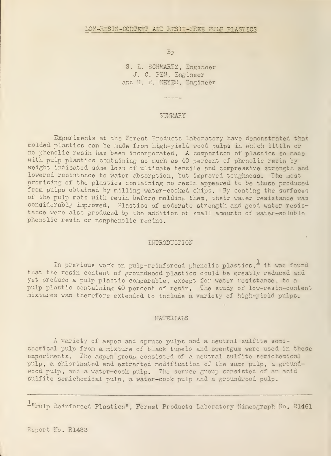By

S. L. SCHWARTZ, Engineer J. C. FEW, Engineer and H. R. MEYER, Engineer

#### SUMMARY

Experiments at the Forest Products Laboratory have demonstrated that molded plastics can be made from high-yield wood pulps in which little or no phenolic resin has been incorporated. A comparison of plastics so made with pulp plastics containing as much as 40 percent of phenolic resin by weight indicated some loss of ultimate tensile and compressive strength and lowered resistance to water absorption, but improved toughness, The most promising of the plastics containing no resin appeared tc be those produced from pulps obtained by milling water-cooked chips. By coating the surfaces of the pulp mats with resin before molding them, their water resistance was considerably improved. Plastics of moderate strength and good water resistance were also produced by the addition of small amounts of water-soluble phenolic resin or nonphenolic resins.

#### INTRODUCTION

In previous work on pulp-reinforced phenolic plastics, $\frac{1}{x}$  it was found that the resin content of groundwood plastics could be greatly reduced and yet produce a pulp plastic comparable, except for water resistance, to a pulp plastic containing 40 percent of resin. The study of low-resin-content mixtures was therefore extended to include a variety of high-rield pulps.

#### MATERIALS

A variety of aspen and spruce pulps and a neutral sulfite semichemical pulp from a mixture cf black tunelo and aveetgum were used in these experiments. The aspen groun consisted of a neutral sulfite semichemical pulp, a chlorinated and extracted modification of the same pulp, a groundwood pulp, and a water-cook pulp. The soruce group consisted of an acid sulfite semichemical pulp, a water-cook pulp and a groundwood pulp.

 $\frac{1}{2}$ "Pulp Reinforced Plastics", Forest Products Laboratory Mimeograph No. R1461

Report No. R1483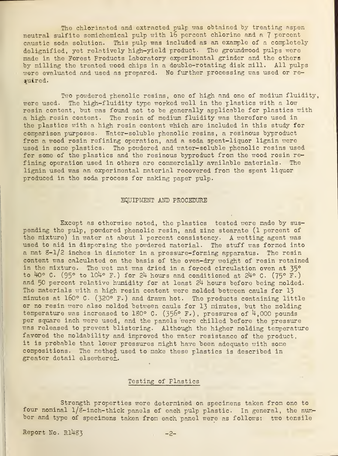The chlorinated and extracted pulp was obtained by treating aspen neutral sulfito somichemical pulp with 16 percent chlorine and a <sup>7</sup> percent caustic soda solution. This pulp was included as an example of a completely delignifiod, yet relatively high-yield product. The groundwood pulps were made in the Forest Products Laboratory experimental grinder and the others by milling the treated wood chips in a double-rotating disk mill. All pulps were evaluated and used as prepared. No further processing was used or required.

Two powdered phenolic resins, one of high and one of medium fluidity, were used. The high-fluidity type worked well in the plastics with a low resin content, but was found not to be generally applicable for plastics with a high resin content. The resin of medium fluidity was therefore used in the plastics with a high resin content which are included in this study for comparison purposes. Water-soluble phenolic resins, a resinous byproduct from a wood rosin refining operation, and a soda spent-liquor lignin were used in some plastics. The powdered and water-soluble phenolic resins used for some of the plastics and the resinous byproduct from the wood rosin refining operation used in others are commercially available materials. The lignin used was an experimental material recovered from the spent liquor produced in the soda process for making paper pulp.

### EQUIPMENT AND PROCEDURE

Except as otherwise noted, the plastics tested were made by sus pending the pulp, powdered phenolic resin, and zinc stearate (1 percent of the mixture) in water at about <sup>1</sup> percent consistency. A wetting agent was used to aid in dispersing the powdered material. The stuff was formed into a mat  $8-1/2$  inches in diameter in a pressure-forming apparatus. The resin content was calculated on the basis of the oven-dry weight of resin retained in the mixture. The wet mat was dried in a forced circulation oven at 35° to 40° C. (95° to 104° F.) for 24 hours and conditioned at 24° C. (75° F.) and 50 percent relative humidity for at least 2h hours before being molded. The materials with a high resin content were molded between cauls for 13 minutes at 160° C. (320° F.) and drawn hot. The products containing little or no resin were also molded between cauls for 13 minutes, but the molding temperature was increased to 180° C. (356° F.), pressures of  $4,000$  pounds per square inch were used, and the panels were chilled before the pressure was released to prevent blistering. Although the higher molding temperature favored the moldability and improved the water resistance of the product, it is probable that lower pressures might have been adequate with some compositions. The method used to make these plastics is described in greater detail elsewhere<sup>1</sup>.

# Testing of Plastics

Strength properties were determined on specimens taken from one to four nominal 1/8-inch-thick panels of each pulp plastic. In general, the number and type of specimens taken from each panel were as follows: two tensile

Report No.  $R1483$  -2-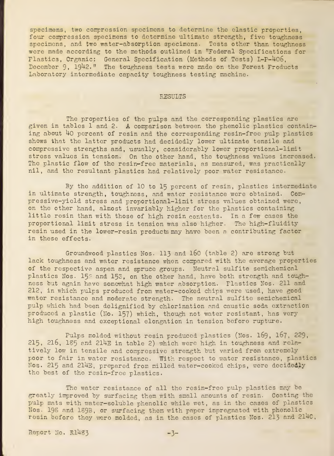specimens, two compression specimens to determine the elastic properties, four compression specimens to determine ultimate strength, five toughness specimens, and two water-absorption specimens. Tests other than toughness were made according to the methods outlined in "Federal Specifications for Flastics, Organic: General Specification (Methods of Tests) L-P-U06, December 9, 1942." The toughness tests were made on the Forest Froducts Laboratory intermediate capacity toughness testing machine.

# RESULTS

The properties of the pulps and the corresponding plastics are given in tables 1 and 2. A comparison between the phenolic plastics containing about  $40$  percent of resin and the corresponding resin-free pulp plastics shows that the latter products had decidedly lower ultimate tensile and compressive strengths and, usually, considerably lower proportional-limit stress values in tension. On the other hand, the toughness values increased. The plastic flow of the resin-free materials, as measured, was practically nil, and the resultant plastics had relatively poor water resistance.

By the addition of 10 to 15 percent of resin, plastics intermediate in ultimate strength, toughness, and water resistance were obtained. Compressive-yield stress and proportional-limit stress values obtained were, on the other hand, almost invariably higher for the plastics containing little resin than with those of high resin contents. In a few cases the proportional limit stress in tension was also higher. The high-fluidity resin used in the lower-resin products may have been <sup>a</sup> contributing factor in these effects.

Groundwood plastics Nos. 113 and 160 (table 2) are strong but lack toughness and water resistance when compared with the average properties of the respective aspen and spruce groups. Neutral sulfite semichemical plastics Nos. 15 $\beta$  and 153, on the other hand, have both strength and toughness but again have somewhat high water absorption. Flastics Nos. 211 and 212, in which pulps produced from water-cooked chips were used, have good water resistance and moderate strength. The neutral sulfite semichemical pulp vhich had been delignified by chlorination and caustic soda extraction produced a plastic (No. 157) which, though not water resistant, has very high toughness and exceptional elongation in tension before rupture.

Pulps moldod without resin produced plastics (Nos. I69, 167, 229, 215, 216, 185 and 214E in table 2) which were high in toughness and relatively low in tensile and compressive strength but varied from extremely poor to fair in water resistance. With respect to water resistance, plasties Nos. 215 and 214E, prepared from milled water-cooked chips, were decidedly the best of the resin-free plastics.

The water resistance of all the resin-free pulp plastics may be greatly improved by surfacing them with small amounts of resin. Coating the pulp mats with water-soluble phenolic while wet, as in the cases of plastics Nos. 19S and 1S9B, or surfacing them with paper impregnated with phenolic resin before they were molded, as in the cases of plastics Nos. 213 and 214C,

Report No. R1483 -3-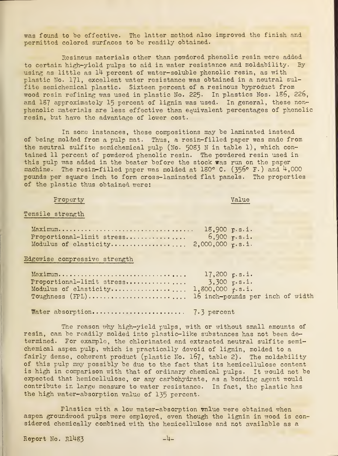was found to bo effective. The latter method also improved the finish and permitted colored surfacos to be readily obtained.

Resinous materials other than powdered phenolic resin were added to certain high-yield pulps to aid in water resistance and moldability. By using as little as 14 percent of water-soluble phenolic resin, as with plastic No. 171, excellent water resistance was obtained in a neutral sulfite semichemical plastic. Sixteen percent of a resinous byproduct from wood rosin refining was used in plastic No. 225. In plastics Nos. 186, 226, and 187 approximately 15 percent of lignin was used. In general, these non phenolic materials are less effective than equivalent percentages of phenolic resin, but have the advantage of lower cost.

In some instances, these compositions may be laminated instead of being molded from a pulp mat. Thus, a resin-filled paper was made from the neutral sulfite semichemical pulp (No. 5083 N in table 1), which con tained 11 percent of powdered phenolic resin. The powdered resin used in this pulp was added in the beater before the stock was run on the paper machine. The resin-filled paper was molded at 180° C. (356° F.) and  $4,000$ pounds per square inch to form cross-laminated flat panels. The properties of the plastic thus obtained were:

# Property **Value**

## Tensile strength

|                           | 18,900 p.s.i. |                  |
|---------------------------|---------------|------------------|
| Proportional-limit stress |               | $6,900$ $r.s.i.$ |
|                           |               |                  |

# Edgewise compressive strength

|                                                  | $17,200$ p.s.i. |
|--------------------------------------------------|-----------------|
| Proportional-limit stress $3,300 \text{ p.s.}$   |                 |
|                                                  |                 |
| Toughness (FPL) 16 inch-pounds per inch of width |                 |
|                                                  |                 |
|                                                  |                 |

Water absorption 7\*3 percent

The reason why high-yield pulps, with or without small amounts of resin, can be readily molded into plastic-like substances has not been determined. For example, the chlorinated and extracted neutral sulfite semichemical aspen pulp, which is practically devoid of lignin, molded to a fairly dense, coherent product (plastic No. 167, table 2). The moldability of this pulp may possibly be due to the fact that its hemicellulose content is high in comparison with that of ordinary chemical pulps. It would not be expected that hemicellulose, or any carbohydrate, as a bonding agent would contribute in large measure to water resistance. In fact, the plastic has the high water-absorption value of 135 percent.

Plastics with a low water-absorption value were obtained when aspen groundwood pulps were employed, even though the lignin in wood is con sidered chemically combined with the hemicellulose and not available as a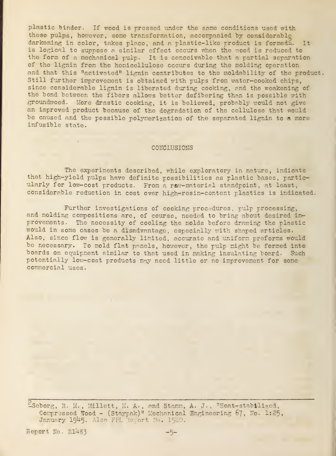plastic binder. If wood is pressed under the same conditions used with these pulps, however, some transformation, accompanied by considerable darkening in color, takes placo, and a plastic-like product is formed<sup>2</sup>. It is logical to suppose a similar effect occurs when the irood is reduced to the form of <sup>a</sup> mechanical pulp. It is conceivable that a partial separation of tho lignin from the homicellulose occurs during the molding operation and that this "activated" lignin contributes to the moldability of the product. Still further improvement is obtained with pulps from water-cooked chips, since considerable lignin is liberated during cooking, and the weakening of the bond between the fibers allows better defibering than is possible with groundwood. More drastic cooking, it is believed, probably would not give an improved product because of the degradation of the cellulose that would be caused and the possible polymerization of the separated lignin to a more infusible state.

#### CONCLUSIONS

The experiments described, while exploratory in nature, indicate that high-yield pulps have definite possibilities as plastic bases, particularly for low-cost products. From a raw-material standpoint, at least, considerable reduction in cost over high-resin-content plastics is indicated.

Further investigations of cooking procedures, pulp processing, and molding compositions are, of courso, needed to bring about desired improvements. The necessity of cooling the molds before drawing the plastic would in some cases be a disadvantage, especially with shaped articles. Also, since flow is generally limited, accurato and uniform preforms would be necessary. To mold flat panels, however, the pulp might be formed into boards on equipment similar to that used in making insulating board. Such potentially low-cost products may need little or no improvement for some commercial uses.

 $^2$ Seborg, R. M., Millett, M. A., and Stamm, A. J., "Heat-stabilized, Compressed Wood - (Staypak)" Mechanical Engineering 67, No. 1:25, January 1945. Also FPL Report No. 1500.

Report No. R1483 -5-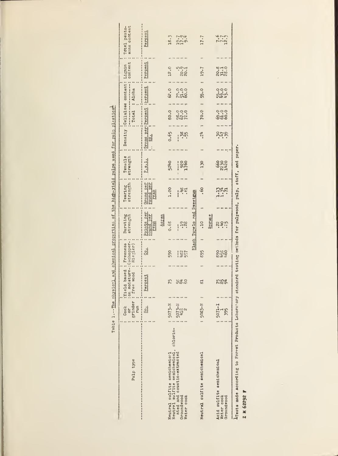|                                                                                                                                  | Table 1.--The physical and chemical properties of the high-yield pulps used for pulp plasticst |                                                         |                          |                                            |                        |                                             |                 |                              |                           |                                                |                                                 |         |
|----------------------------------------------------------------------------------------------------------------------------------|------------------------------------------------------------------------------------------------|---------------------------------------------------------|--------------------------|--------------------------------------------|------------------------|---------------------------------------------|-----------------|------------------------------|---------------------------|------------------------------------------------|-------------------------------------------------|---------|
| Pulp type                                                                                                                        | grinder<br>run<br>Cooz<br>5p                                                                   | : on moisture-: (Schopper-<br>:Yield based<br>free wood | Freeness<br>Riegler)     | Bursting<br>strength                       | Tearing<br>strength    | Tensile<br>strength                         |                 | Total                        | Alpha                     | content<br>Density : Cellulose content: Lignin | sans content<br>Total pento-                    |         |
|                                                                                                                                  | $\frac{1}{2}$                                                                                  | Percent                                                 | ئ                        | Points per<br>pound per<br>Aspen           | Grams per<br>pound per | P.8.1.                                      | ġ               | Grams per: Percent : rercent |                           | Percent                                        |                                                 | Percent |
| Neutral sulfite semichemical, chlorin-<br>ated and caustic-extracted<br>Neutral sulfite semichemiccl<br>Groundwood<br>Water cook | $5073 - N$<br>$5073-11$<br>$418$<br>$2$                                                        | 75<br>ಜಕ್ಷ್ಣ                                            | 590<br>$\frac{152}{331}$ | 0.68<br><b>228</b><br>ļ                    | 1.00<br>र्नेद<br>i     | 5240<br><b>920</b><br>1760<br>$\frac{1}{2}$ | <b>Bei</b><br>I | 0.65 : 80.0                  | 62.0<br>ಂ<br>೧೯೮೦<br>೧೯೮೭ | 12.0<br>rion<br>SS:<br>SS:                     | 18.3<br>$\frac{1}{9}$<br>$\frac{1}{9}$          |         |
| Neutral sulfite semichemical                                                                                                     | : 5083-N                                                                                       | $\overline{\mathbb{S}}$                                 | 895                      | Elack Tupelo and Sweetgum<br>Spruce<br>.10 | .60                    | 130                                         | ಸ್ತೆ            | 70.0<br>                     | 55.0                      | : 19.7                                         | 1.7                                             |         |
| Acid sulfite semichemical<br>Weter cook<br>Groundrood                                                                            | $\frac{1}{2}$ 5071-1<br>$\frac{1}{395}$                                                        | <b>7599</b>                                             | 8926                     | sition                                     | 1.71<br>1.71           |                                             | 1479            | <b>୍</b><br>ଡିସି             | ran<br>Coco<br>Coco       | saro<br>212                                    | $\frac{2}{3}$<br>$\frac{2}{3}$<br>$\frac{2}{3}$ |         |
| aresta mede according to Forest Products Laboratory standard testing methods for mulrwood, muln, stuff, and paper.               |                                                                                                |                                                         |                          |                                            |                        |                                             |                 |                              |                           |                                                |                                                 |         |

Z N 62292 F